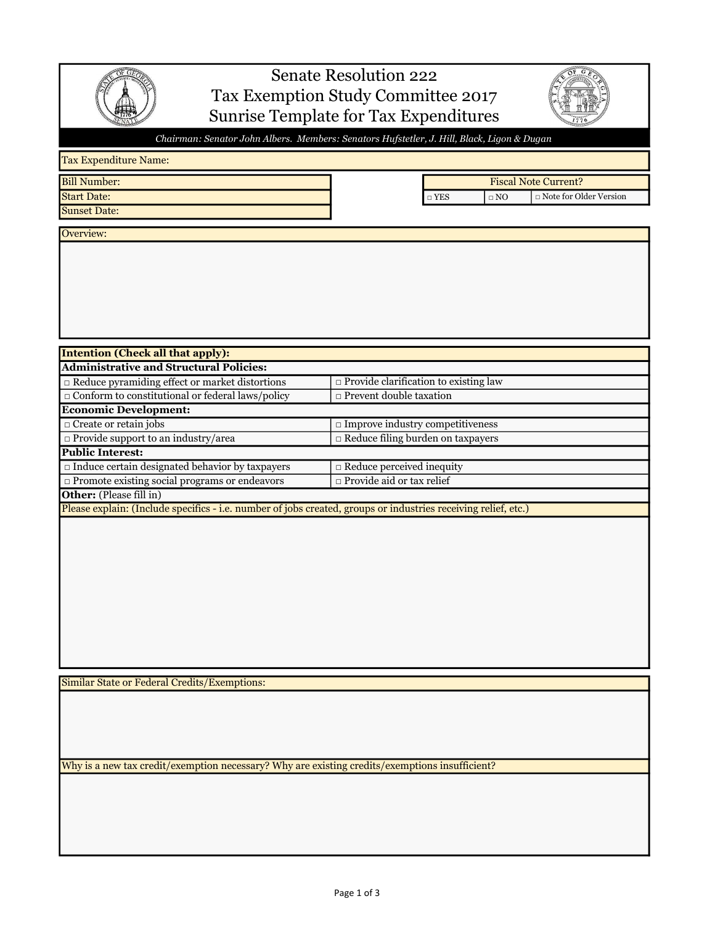

## Senate Resolution 222 Tax Exemption Study Committee 2017 Sunrise Template for Tax Expenditures



□ Note for Older Version

Fiscal Note Current?

Chairman: Senator John Albers. Members: Senators Hufstetler, J. Hill, Black, Ligon & Dugan

## Tax Expenditure Name:

Bill Number: Start Date: □ YES □ NO

Sunset Date:

Overview:

| <b>Intention (Check all that apply):</b>                                                                       |                                              |
|----------------------------------------------------------------------------------------------------------------|----------------------------------------------|
| <b>Administrative and Structural Policies:</b>                                                                 |                                              |
| $\Box$ Reduce pyramiding effect or market distortions                                                          | $\Box$ Provide clarification to existing law |
| $\Box$ Conform to constitutional or federal laws/policy                                                        | $\Box$ Prevent double taxation               |
| <b>Economic Development:</b>                                                                                   |                                              |
| $\Box$ Create or retain jobs                                                                                   | $\Box$ Improve industry competitiveness      |
| $\Box$ Provide support to an industry/area                                                                     | $\Box$ Reduce filing burden on taxpayers     |
| <b>Public Interest:</b>                                                                                        |                                              |
| $\Box$ Induce certain designated behavior by taxpayers                                                         | $\Box$ Reduce perceived inequity             |
| $\Box$ Promote existing social programs or endeavors                                                           | $\Box$ Provide aid or tax relief             |
| <b>Other:</b> (Please fill in)                                                                                 |                                              |
| Please explain: (Include specifics - i.e. number of jobs created, groups or industries receiving relief, etc.) |                                              |

Similar State or Federal Credits/Exemptions:

Why is a new tax credit/exemption necessary? Why are existing credits/exemptions insufficient?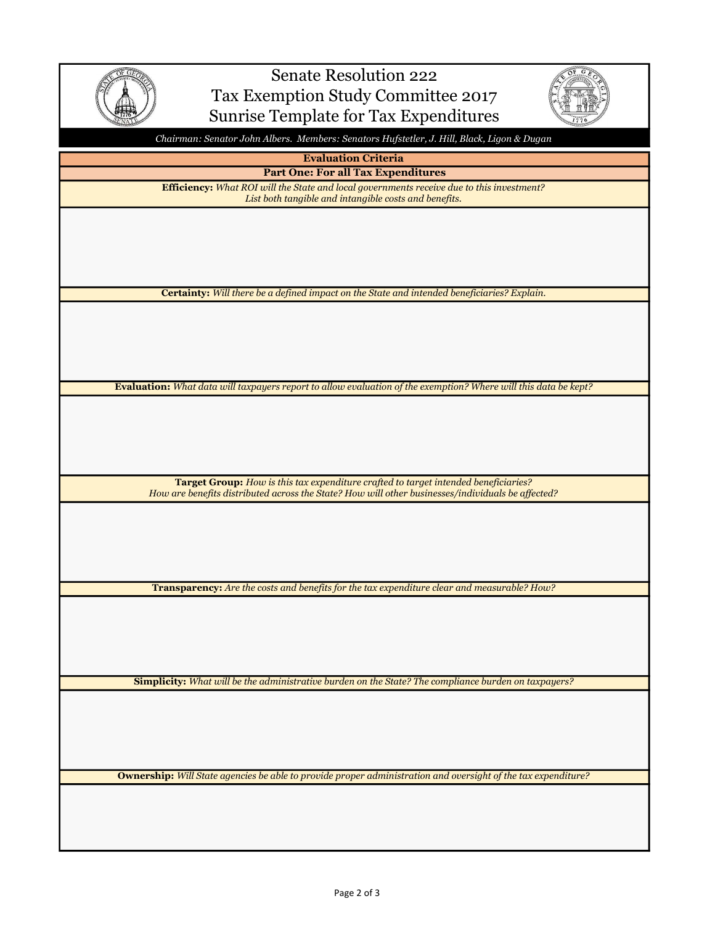

## Senate Resolution 222 Tax Exemption Study Committee 2017 Sunrise Template for Tax Expenditures



Chairman: Senator John Albers. Members: Senators Hufstetler, J. Hill, Black, Ligon & Dugan

Evaluation Criteria

Part One: For all Tax Expenditures Efficiency: What ROI will the State and local governments receive due to this investment? List both tangible and intangible costs and benefits.

Certainty: Will there be a defined impact on the State and intended beneficiaries? Explain.

Evaluation: What data will taxpayers report to allow evaluation of the exemption? Where will this data be kept?

Target Group: How is this tax expenditure crafted to target intended beneficiaries? How are benefits distributed across the State? How will other businesses/individuals be affected?

Transparency: Are the costs and benefits for the tax expenditure clear and measurable? How?

Simplicity: What will be the administrative burden on the State? The compliance burden on taxpayers?

Ownership: Will State agencies be able to provide proper administration and oversight of the tax expenditure?